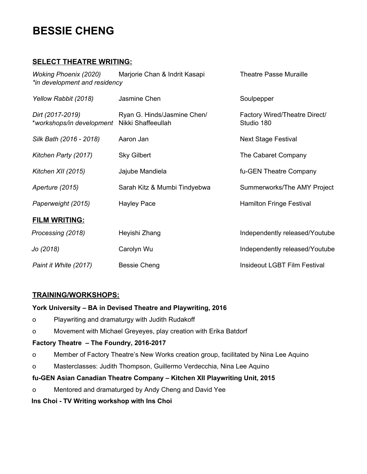# **BESSIE CHENG**

## **SELECT THEATRE WRITING:**

| <b>Woking Phoenix (2020)</b><br>*in development and residency | Marjorie Chan & Indrit Kasapi                     | <b>Theatre Passe Muraille</b>               |
|---------------------------------------------------------------|---------------------------------------------------|---------------------------------------------|
| Yellow Rabbit (2018)                                          | Jasmine Chen                                      | Soulpepper                                  |
| Dirt (2017-2019)<br>*workshops/in development                 | Ryan G. Hinds/Jasmine Chen/<br>Nikki Shaffeeullah | Factory Wired/Theatre Direct/<br>Studio 180 |
| Silk Bath (2016 - 2018)                                       | Aaron Jan                                         | <b>Next Stage Festival</b>                  |
| Kitchen Party (2017)                                          | <b>Sky Gilbert</b>                                | The Cabaret Company                         |
| Kitchen XII (2015)                                            | Jajube Mandiela                                   | fu-GEN Theatre Company                      |
| Aperture (2015)                                               | Sarah Kitz & Mumbi Tindyebwa                      | Summerworks/The AMY Project                 |
| Paperweight (2015)                                            | <b>Hayley Pace</b>                                | Hamilton Fringe Festival                    |
| <b>FILM WRITING:</b>                                          |                                                   |                                             |
| Processing (2018)                                             | Heyishi Zhang                                     | Independently released/Youtube              |
| Jo (2018)                                                     | Carolyn Wu                                        | Independently released/Youtube              |
| Paint it White (2017)                                         | <b>Bessie Cheng</b>                               | <b>Insideout LGBT Film Festival</b>         |

### **TRAINING/WORKSHOPS:**

### **York University – BA in Devised Theatre and Playwriting, 2016**

- o Playwriting and dramaturgy with Judith Rudakoff
- o Movement with Michael Greyeyes, play creation with Erika Batdorf

#### **Factory Theatre – The Foundry, 2016-2017**

- o Member of Factory Theatre's New Works creation group, facilitated by Nina Lee Aquino
- o Masterclasses: Judith Thompson, Guillermo Verdecchia, Nina Lee Aquino

### **fu-GEN Asian Canadian Theatre Company – Kitchen XII Playwriting Unit, 2015**

o Mentored and dramaturged by Andy Cheng and David Yee

### **Ins Choi - TV Writing workshop with Ins Choi**